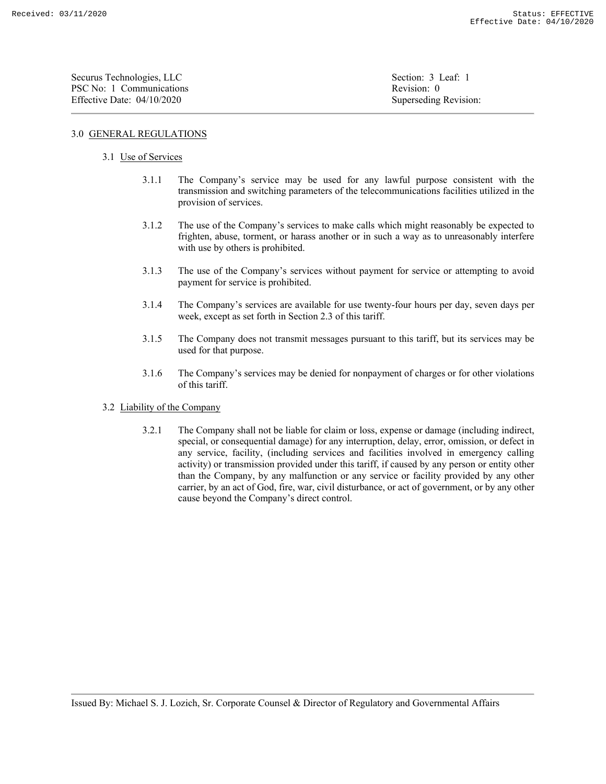| Securus Technologies, LLC    | Section: 3 Leaf: 1    |
|------------------------------|-----------------------|
| PSC No: 1 Communications     | Revision: 0           |
| Effective Date: $04/10/2020$ | Superseding Revision: |

## 3.0 GENERAL REGULATIONS

## 3.1 Use of Services

- 3.1.1 The Company's service may be used for any lawful purpose consistent with the transmission and switching parameters of the telecommunications facilities utilized in the provision of services.
- 3.1.2 The use of the Company's services to make calls which might reasonably be expected to frighten, abuse, torment, or harass another or in such a way as to unreasonably interfere with use by others is prohibited.
- 3.1.3 The use of the Company's services without payment for service or attempting to avoid payment for service is prohibited.
- 3.1.4 The Company's services are available for use twenty-four hours per day, seven days per week, except as set forth in Section 2.3 of this tariff.
- 3.1.5 The Company does not transmit messages pursuant to this tariff, but its services may be used for that purpose.
- 3.1.6 The Company's services may be denied for nonpayment of charges or for other violations of this tariff.
- 3.2 Liability of the Company
	- 3.2.1 The Company shall not be liable for claim or loss, expense or damage (including indirect, special, or consequential damage) for any interruption, delay, error, omission, or defect in any service, facility, (including services and facilities involved in emergency calling activity) or transmission provided under this tariff, if caused by any person or entity other than the Company, by any malfunction or any service or facility provided by any other carrier, by an act of God, fire, war, civil disturbance, or act of government, or by any other cause beyond the Company's direct control.

Issued By: Michael S. J. Lozich, Sr. Corporate Counsel & Director of Regulatory and Governmental Affairs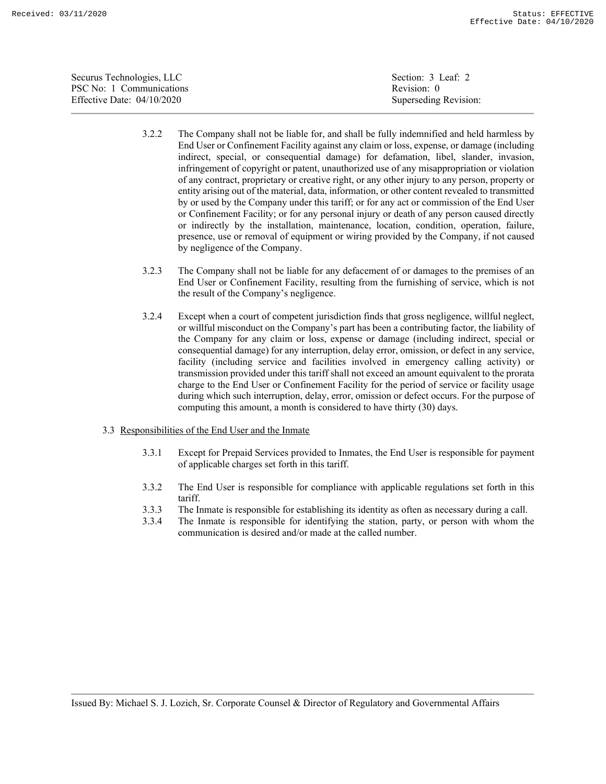| Securus Technologies, LLC    | Section: 3 Leaf: 2    |
|------------------------------|-----------------------|
| PSC No: 1 Communications     | Revision: 0           |
| Effective Date: $04/10/2020$ | Superseding Revision: |

- 3.2.2 The Company shall not be liable for, and shall be fully indemnified and held harmless by End User or Confinement Facility against any claim or loss, expense, or damage (including indirect, special, or consequential damage) for defamation, libel, slander, invasion, infringement of copyright or patent, unauthorized use of any misappropriation or violation of any contract, proprietary or creative right, or any other injury to any person, property or entity arising out of the material, data, information, or other content revealed to transmitted by or used by the Company under this tariff; or for any act or commission of the End User or Confinement Facility; or for any personal injury or death of any person caused directly or indirectly by the installation, maintenance, location, condition, operation, failure, presence, use or removal of equipment or wiring provided by the Company, if not caused by negligence of the Company.
- 3.2.3 The Company shall not be liable for any defacement of or damages to the premises of an End User or Confinement Facility, resulting from the furnishing of service, which is not the result of the Company's negligence.
- 3.2.4 Except when a court of competent jurisdiction finds that gross negligence, willful neglect, or willful misconduct on the Company's part has been a contributing factor, the liability of the Company for any claim or loss, expense or damage (including indirect, special or consequential damage) for any interruption, delay error, omission, or defect in any service, facility (including service and facilities involved in emergency calling activity) or transmission provided under this tariff shall not exceed an amount equivalent to the prorata charge to the End User or Confinement Facility for the period of service or facility usage during which such interruption, delay, error, omission or defect occurs. For the purpose of computing this amount, a month is considered to have thirty (30) days.
- 3.3 Responsibilities of the End User and the Inmate
	- 3.3.1 Except for Prepaid Services provided to Inmates, the End User is responsible for payment of applicable charges set forth in this tariff.
	- 3.3.2 The End User is responsible for compliance with applicable regulations set forth in this tariff.
	- 3.3.3 The Inmate is responsible for establishing its identity as often as necessary during a call.
	- 3.3.4 The Inmate is responsible for identifying the station, party, or person with whom the communication is desired and/or made at the called number.